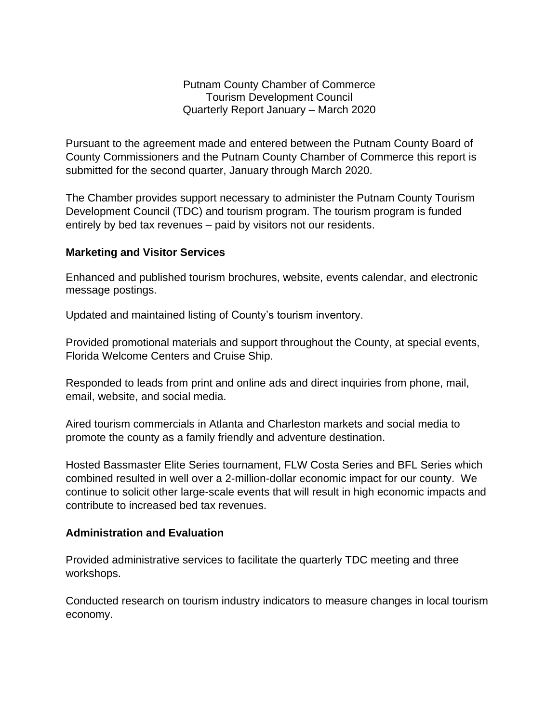Putnam County Chamber of Commerce Tourism Development Council Quarterly Report January – March 2020

Pursuant to the agreement made and entered between the Putnam County Board of County Commissioners and the Putnam County Chamber of Commerce this report is submitted for the second quarter, January through March 2020.

The Chamber provides support necessary to administer the Putnam County Tourism Development Council (TDC) and tourism program. The tourism program is funded entirely by bed tax revenues – paid by visitors not our residents.

## **Marketing and Visitor Services**

Enhanced and published tourism brochures, website, events calendar, and electronic message postings.

Updated and maintained listing of County's tourism inventory.

Provided promotional materials and support throughout the County, at special events, Florida Welcome Centers and Cruise Ship.

Responded to leads from print and online ads and direct inquiries from phone, mail, email, website, and social media.

Aired tourism commercials in Atlanta and Charleston markets and social media to promote the county as a family friendly and adventure destination.

Hosted Bassmaster Elite Series tournament, FLW Costa Series and BFL Series which combined resulted in well over a 2-million-dollar economic impact for our county. We continue to solicit other large-scale events that will result in high economic impacts and contribute to increased bed tax revenues.

## **Administration and Evaluation**

Provided administrative services to facilitate the quarterly TDC meeting and three workshops.

Conducted research on tourism industry indicators to measure changes in local tourism economy.